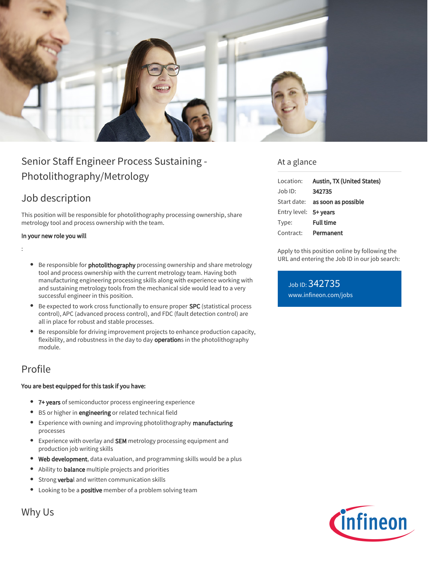

# Senior Staff Engineer Process Sustaining - Photolithography/Metrology

## Job description

This position will be responsible for photolithography processing ownership, share metrology tool and process ownership with the team.

### In your new role you will

:

- **Be responsible for photolithography** processing ownership and share metrology tool and process ownership with the current metrology team. Having both manufacturing engineering processing skills along with experience working with and sustaining metrology tools from the mechanical side would lead to a very successful engineer in this position.
- Be expected to work cross functionally to ensure proper SPC (statistical process control), APC (advanced process control), and FDC (fault detection control) are all in place for robust and stable processes.
- Be responsible for driving improvement projects to enhance production capacity, flexibility, and robustness in the day to day operations in the photolithography module.

## Profile

### You are best equipped for this task if you have:

- 7+ years of semiconductor process engineering experience
- BS or higher in engineering or related technical field
- Experience with owning and improving photolithography manufacturing processes
- **Experience with overlay and SEM** metrology processing equipment and production job writing skills
- Web development, data evaluation, and programming skills would be a plus
- Ability to balance multiple projects and priorities
- **Strong verbal and written communication skills**
- Looking to be a **positive** member of a problem solving team

### At a glance

| Location:             | Austin, TX (United States)      |
|-----------------------|---------------------------------|
| Job ID:               | 342735                          |
|                       | Start date: as soon as possible |
| Entry level: 5+ years |                                 |
| Type:                 | <b>Full time</b>                |
| Contract:             | Permanent                       |

Apply to this position online by following the URL and entering the Job ID in our job search:

Job ID: 342735 [www.infineon.com/jobs](https://www.infineon.com/jobs)



Why Us